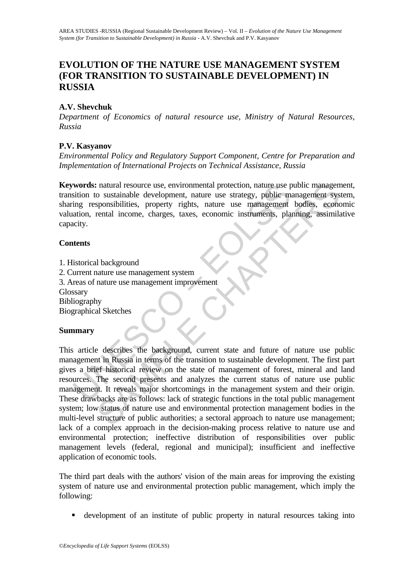# **EVOLUTION OF THE NATURE USE MANAGEMENT SYSTEM (FOR TRANSITION TO SUSTAINABLE DEVELOPMENT) IN RUSSIA**

## **A.V. Shevchuk**

*Department of Economics of natural resource use, Ministry of Natural Resources, Russia* 

#### **P.V. Kasyanov**

*Environmental Policy and Regulatory Support Component, Centre for Preparation and Implementation of International Projects on Technical Assistance, Russia*

**Keywords:** natural resource use, environmental protection, nature use public management, transition to sustainable development, nature use strategy, public management system, sharing responsibilities, property rights, nature use management bodies, economic valuation, rental income, charges, taxes, economic instruments, planning, assimilative capacity.

#### **Contents**

- 1. Historical background
- 2. Current nature use management system
- 3. Areas of nature use management improvement
- Glossary
- Bibliography

Biographical Sketches

#### **Summary**

**EXECUTE:**<br>
Strong tensors and the source use, environmental protection, nature use provided to sustainable development, nature use strategy, public m<br>
ing responsibilities, property rights, nature use management<br>
atation, Fractural resource use, environmental protection, nature use public management<br>
oustainable development, nature use strategy, public management system<br>
separabilities, property rights, nature use management bodies, economi This article describes the background, current state and future of nature use public management in Russia in terms of the transition to sustainable development. The first part gives a brief historical review on the state of management of forest, mineral and land resources. The second presents and analyzes the current status of nature use public management. It reveals major shortcomings in the management system and their origin. These drawbacks are as follows: lack of strategic functions in the total public management system; low status of nature use and environmental protection management bodies in the multi-level structure of public authorities; a sectoral approach to nature use management; lack of a complex approach in the decision-making process relative to nature use and environmental protection; ineffective distribution of responsibilities over public management levels (federal, regional and municipal); insufficient and ineffective application of economic tools.

The third part deals with the authors' vision of the main areas for improving the existing system of nature use and environmental protection public management, which imply the following:

development of an institute of public property in natural resources taking into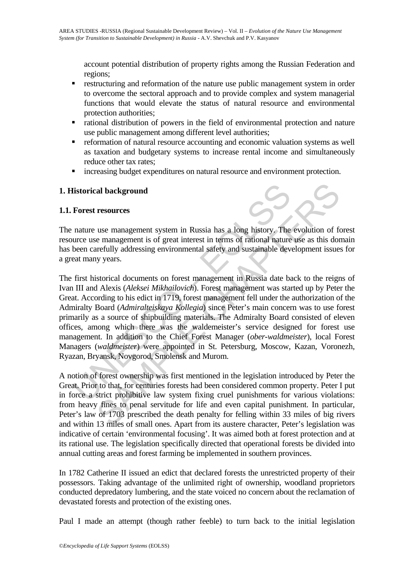account potential distribution of property rights among the Russian Federation and regions;

- **F** restructuring and reformation of the nature use public management system in order to overcome the sectoral approach and to provide complex and system managerial functions that would elevate the status of natural resource and environmental protection authorities;
- rational distribution of powers in the field of environmental protection and nature use public management among different level authorities;
- reformation of natural resource accounting and economic valuation systems as well as taxation and budgetary systems to increase rental income and simultaneously reduce other tax rates;
- increasing budget expenditures on natural resource and environment protection.

### **1. Historical background**

### **1.1. Forest resources**

The nature use management system in Russia has a long history. The evolution of forest resource use management is of great interest in terms of rational nature use as this domain has been carefully addressing environmental safety and sustainable development issues for a great many years.

**Instorical background**<br> **Forest resources**<br>
nature use management system in Russia has a long history. The<br>
ure use management is of great interest in terms of rational nature<br>
been carefully addressing environmental safe **Example 18 background**<br> **Examplement** system in Russia has a long history. The evolution of fee management is of great interest in terms of rational nature use as this dorerfully addressing environmental safety and sustai The first historical documents on forest management in Russia date back to the reigns of Ivan III and Alexis (*Aleksei Mikhailovich*). Forest management was started up by Peter the Great. According to his edict in 1719, forest management fell under the authorization of the Admiralty Board (*Admiralteiskaya Kollegia*) since Peter's main concern was to use forest primarily as a source of shipbuilding materials. The Admiralty Board consisted of eleven offices, among which there was the waldemeister's service designed for forest use management. In addition to the Chief Forest Manager (*ober*-*waldmeister*), local Forest Managers (*waldmeister*) were appointed in St. Petersburg, Moscow, Kazan, Voronezh, Ryazan, Bryansk, Novgorod, Smolensk and Murom.

A notion of forest ownership was first mentioned in the legislation introduced by Peter the Great. Prior to that, for centuries forests had been considered common property. Peter I put in force a strict prohibitive law system fixing cruel punishments for various violations: from heavy fines to penal servitude for life and even capital punishment. In particular, Peter's law of 1703 prescribed the death penalty for felling within 33 miles of big rivers and within 13 miles of small ones. Apart from its austere character, Peter's legislation was indicative of certain 'environmental focusing'. It was aimed both at forest protection and at its rational use. The legislation specifically directed that operational forests be divided into annual cutting areas and forest farming be implemented in southern provinces.

In 1782 Catherine II issued an edict that declared forests the unrestricted property of their possessors. Taking advantage of the unlimited right of ownership, woodland proprietors conducted depredatory lumbering, and the state voiced no concern about the reclamation of devastated forests and protection of the existing ones.

Paul I made an attempt (though rather feeble) to turn back to the initial legislation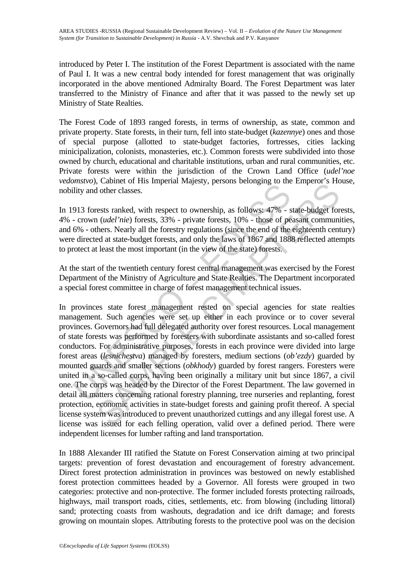introduced by Peter I. The institution of the Forest Department is associated with the name of Paul I. It was a new central body intended for forest management that was originally incorporated in the above mentioned Admiralty Board. The Forest Department was later transferred to the Ministry of Finance and after that it was passed to the newly set up Ministry of State Realties.

The Forest Code of 1893 ranged forests, in terms of ownership, as state, common and private property. State forests, in their turn, fell into state-budget (*kazennye*) ones and those of special purpose (allotted to state-budget factories, fortresses, cities lacking minicipalization, colonists, monasteries, etc.). Common forests were subdivided into those owned by church, educational and charitable institutions, urban and rural communities, etc. Private forests were within the jurisdiction of the Crown Land Office (*udel'noe vedomstvo*), Cabinet of His Imperial Majesty, persons belonging to the Emperor's House, nobility and other classes.

In 1913 forests ranked, with respect to ownership, as follows: 47% - state-budget forests, 4% - crown (*udel'nie*) forests, 33% - private forests, 10% - those of peasant communities, and 6% - others. Nearly all the forestry regulations (since the end of the eighteenth century) were directed at state-budget forests, and only the laws of 1867 and 1888 reflected attempts to protect at least the most important (in the view of the state) forests.

At the start of the twentieth century forest central management was exercised by the Forest Department of the Ministry of Agriculture and State Realties. The Department incorporated a special forest committee in charge of forest management technical issues.

*Misivo*, caonicle of His imperial Hujesty, persons octonging to active and other classes.<br>
913 forests ranked, with respect to ownership, as follows:  $47\%$  - s<br>  $\sim$  crown *(udel'nie)* forests, 33% - private forests, 10 Calmet of rins imperial rangesty, persons occonging to the Enipector's rice<br>
rests ranked, with respect to ownership, as follows:  $47\%$  - state-budget for<br>
rests ranked, with respect to ownership, as follows:  $47\%$  - st In provinces state forest management rested on special agencies for state realties management. Such agencies were set up either in each province or to cover several provinces. Governors had full delegated authority over forest resources. Local management of state forests was performed by foresters with subordinate assistants and so-called forest conductors. For administrative purposes, forests in each province were divided into large forest areas (*lesnichestva*) managed by foresters, medium sections (*ob'ezdy*) guarded by mounted guards and smaller sections (*obkhody*) guarded by forest rangers. Foresters were united in a so-called corps, having been originally a military unit but since 1867, a civil one. The corps was headed by the Director of the Forest Department. The law governed in detail all matters concerning rational forestry planning, tree nurseries and replanting, forest protection, economic activities in state-budget forests and gaining profit thereof. A special license system was introduced to prevent unauthorized cuttings and any illegal forest use. A license was issued for each felling operation, valid over a defined period. There were independent licenses for lumber rafting and land transportation.

In 1888 Alexander III ratified the Statute on Forest Conservation aiming at two principal targets: prevention of forest devastation and encouragement of forestry advancement. Direct forest protection administration in provinces was bestowed on newly established forest protection committees headed by a Governor. All forests were grouped in two categories: protective and non-protective. The former included forests protecting railroads, highways, mail transport roads, cities, settlements, etc. from blowing (including littoral) sand; protecting coasts from washouts, degradation and ice drift damage; and forests growing on mountain slopes. Attributing forests to the protective pool was on the decision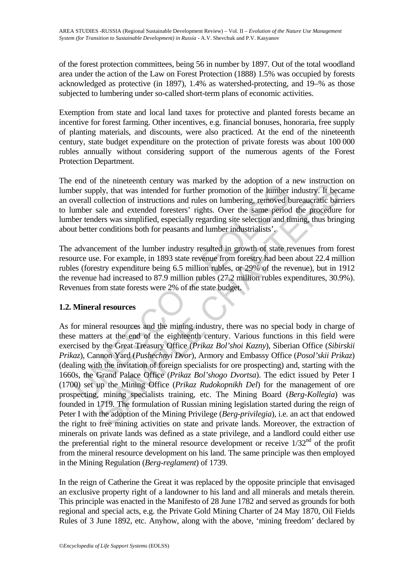of the forest protection committees, being 56 in number by 1897. Out of the total woodland area under the action of the Law on Forest Protection (1888) 1.5% was occupied by forests acknowledged as protective (in 1897), 1.4% as watershed-protecting, and 19–% as those subjected to lumbering under so-called short-term plans of economic activities.

Exemption from state and local land taxes for protective and planted forests became an incentive for forest farming. Other incentives, e.g. financial bonuses, honoraria, free supply of planting materials, and discounts, were also practiced. At the end of the nineteenth century, state budget expenditure on the protection of private forests was about 100 000 rubles annually without considering support of the numerous agents of the Forest Protection Department.

The end of the nineteenth century was marked by the adoption of a new instruction on lumber supply, that was intended for further promotion of the lumber industry. It became an overall collection of instructions and rules on lumbering, removed bureaucratic barriers to lumber sale and extended foresters' rights. Over the same period the procedure for lumber tenders was simplified, especially regarding site selection and timing, thus bringing about better conditions both for peasants and lumber industrialists'.

The advancement of the lumber industry resulted in growth of state revenues from forest resource use. For example, in 1893 state revenue from forestry had been about 22.4 million rubles (forestry expenditure being 6.5 million rubles, or 29% of the revenue), but in 1912 the revenue had increased to 87.9 million rubles (27.2 million rubles expenditures, 30.9%). Revenues from state forests were 2% of the state budget.

# **1.2. Mineral resources**

on the minical resources<br>ber supply, that was intended for further promotion of the lumber<br>ober supply, that was intended for further promotion of the lumber<br>werall collection of instructions and rules on lumbering, remov the uncettent clearary was marked by the acaptom of a new musical<br>end, the mean that was intended for further promotion of the lumber industry. It becoller<br>tion of instructions and rules on lumbering, removed bureaucratic As for mineral resources and the mining industry, there was no special body in charge of these matters at the end of the eighteenth century. Various functions in this field were exercised by the Great Treasury Office (*Prikaz Bol'shoi Kazny*), Siberian Office (*Sibirskii Prikaz*), Cannon Yard (*Pushechnyi Dvor*), Armory and Embassy Office (*Posol'skii Prikaz*) (dealing with the invitation of foreign specialists for ore prospecting) and, starting with the 1660s, the Grand Palace Office (*Prikaz Bol'shogo Dvortsa*). The edict issued by Peter I (1700) set up the Mining Office (*Prikaz Rudokopnikh Del*) for the management of ore prospecting, mining specialists training, etc. The Mining Board (*Berg*-*Kollegia*) was founded in 1719. The formulation of Russian mining legislation started during the reign of Peter I with the adoption of the Mining Privilege (*Berg*-*privilegia*), i.e. an act that endowed the right to free mining activities on state and private lands. Moreover, the extraction of minerals on private lands was defined as a state privilege, and a landlord could either use the preferential right to the mineral resource development or receive 1/32<sup>nd</sup> of the profit from the mineral resource development on his land. The same principle was then employed in the Mining Regulation (*Berg-reglament*) of 1739.

In the reign of Catherine the Great it was replaced by the opposite principle that envisaged an exclusive property right of a landowner to his land and all minerals and metals therein. This principle was enacted in the Manifesto of 28 June 1782 and served as grounds for both regional and special acts, e.g. the Private Gold Mining Charter of 24 May 1870, Oil Fields Rules of 3 June 1892, etc. Anyhow, along with the above, 'mining freedom' declared by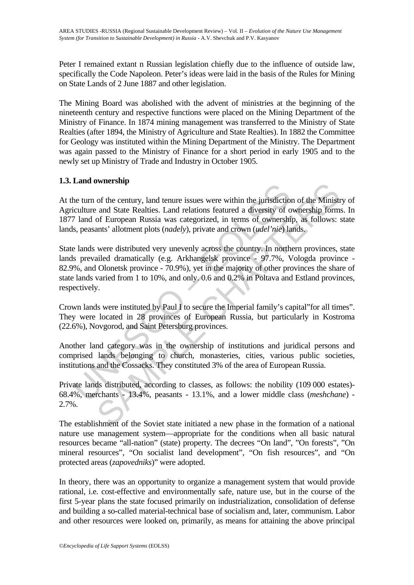Peter I remained extant n Russian legislation chiefly due to the influence of outside law, specifically the Code Napoleon. Peter's ideas were laid in the basis of the Rules for Mining on State Lands of 2 June 1887 and other legislation.

The Mining Board was abolished with the advent of ministries at the beginning of the nineteenth century and respective functions were placed on the Mining Department of the Ministry of Finance. In 1874 mining management was transferred to the Ministry of State Realties (after 1894, the Ministry of Agriculture and State Realties). In 1882 the Committee for Geology was instituted within the Mining Department of the Ministry. The Department was again passed to the Ministry of Finance for a short period in early 1905 and to the newly set up Ministry of Trade and Industry in October 1905.

# **1.3. Land ownership**

At the turn of the century, land tenure issues were within the jurisdiction of the Ministry of Agriculture and State Realties. Land relations featured a diversity of ownership forms. In 1877 land of European Russia was categorized, in terms of ownership, as follows: state lands, peasants' allotment plots (*nadely*), private and crown (*udel'nie*) lands.

Land ownership<br>the turn of the century, land tenure issues were within the jurisdiction<br>ciculture and State Realties. Land relations featured a diversity of  $7$  land of European Russia was categorized, in terms of ownersh **SAMPLE SET THART CONDUCT SET THEOTEM SCREET SET AND SOMALLY SET SCREET SURFACT SURFACT AND THEORY OF EUROPEAD INSTED FOR ENTIRE SURFACT SURFACT SURFACT SURFACT SURFACT SURFACT SURFACT SURFACT SURFACT SURFACT SURFACT SURF** State lands were distributed very unevenly across the country. In northern provinces, state lands prevailed dramatically (e.g. Arkhangelsk province - 97.7%, Vologda province - 82.9%, and Olonetsk province - 70.9%), yet in the majority of other provinces the share of state lands varied from 1 to 10%, and only. 0.6 and 0.2% in Poltava and Estland provinces, respectively.

Crown lands were instituted by Paul I to secure the Imperial family's capital"for all times". They were located in 28 provinces of European Russia, but particularly in Kostroma (22.6%), Novgorod, and Saint Petersburg provinces.

Another land category was in the ownership of institutions and juridical persons and comprised lands belonging to church, monasteries, cities, various public societies, institutions and the Cossacks. They constituted 3% of the area of European Russia.

Private lands distributed, according to classes, as follows: the nobility (109 000 estates)- 68.4%, merchants - 13.4%, peasants - 13.1%, and a lower middle class (*meshchane*) - 2.7%.

The establishment of the Soviet state initiated a new phase in the formation of a national nature use management system—appropriate for the conditions when all basic natural resources became "all-nation" (state) property. The decrees "On land", "On forests", "On mineral resources", "On socialist land development", "On fish resources", and "On protected areas (*zapovedniks*)" were adopted.

In theory, there was an opportunity to organize a management system that would provide rational, i.e. cost-effective and environmentally safe, nature use, but in the course of the first 5-year plans the state focused primarily on industrialization, consolidation of defense and building a so-called material-technical base of socialism and, later, communism. Labor and other resources were looked on, primarily, as means for attaining the above principal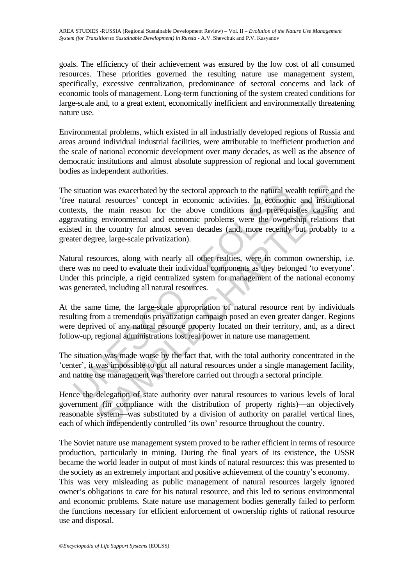goals. The efficiency of their achievement was ensured by the low cost of all consumed resources. These priorities governed the resulting nature use management system, specifically, excessive centralization, predominance of sectoral concerns and lack of economic tools of management. Long-term functioning of the system created conditions for large-scale and, to a great extent, economically inefficient and environmentally threatening nature use.

Environmental problems, which existed in all industrially developed regions of Russia and areas around individual industrial facilities, were attributable to inefficient production and the scale of national economic development over many decades, as well as the absence of democratic institutions and almost absolute suppression of regional and local government bodies as independent authorities.

situation was exacerbated by the sectoral approach to the natural we natural resources' concept in economic activities. In economic exts, the main reason for the above conditions and prereque ravating environmental and eco on was exacerbated by the sectoral approach to the natural wealth tenure and resources' concept in economic activities. In economic and institutive he main reason for the above conditions and prerequisites causing environm The situation was exacerbated by the sectoral approach to the natural wealth tenure and the 'free natural resources' concept in economic activities. In economic and institutional contexts, the main reason for the above conditions and prerequisites causing and aggravating environmental and economic problems were the ownership relations that existed in the country for almost seven decades (and, more recently but probably to a greater degree, large-scale privatization).

Natural resources, along with nearly all other realties, were in common ownership, i.e. there was no need to evaluate their individual components as they belonged 'to everyone'. Under this principle, a rigid centralized system for management of the national economy was generated, including all natural resources.

At the same time, the large-scale appropriation of natural resource rent by individuals resulting from a tremendous privatization campaign posed an even greater danger. Regions were deprived of any natural resource property located on their territory, and, as a direct follow-up, regional administrations lost real power in nature use management.

The situation was made worse by the fact that, with the total authority concentrated in the 'center', it was impossible to put all natural resources under a single management facility, and nature use management was therefore carried out through a sectoral principle.

Hence the delegation of state authority over natural resources to various levels of local government (in compliance with the distribution of property rights)—an objectively reasonable system—was substituted by a division of authority on parallel vertical lines, each of which independently controlled 'its own' resource throughout the country.

The Soviet nature use management system proved to be rather efficient in terms of resource production, particularly in mining. During the final years of its existence, the USSR became the world leader in output of most kinds of natural resources: this was presented to the society as an extremely important and positive achievement of the country's economy. This was very misleading as public management of natural resources largely ignored owner's obligations to care for his natural resource, and this led to serious environmental and economic problems. State nature use management bodies generally failed to perform the functions necessary for efficient enforcement of ownership rights of rational resource use and disposal.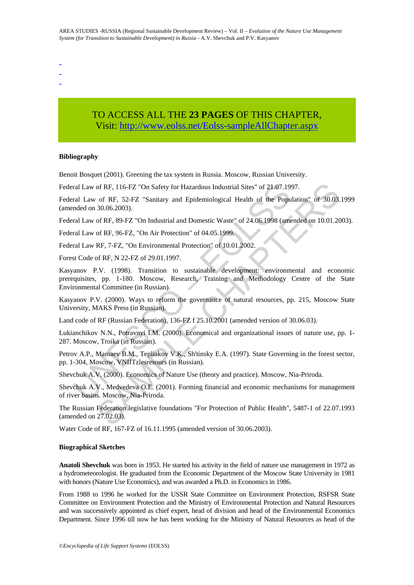- -
- -

# TO ACCESS ALL THE **23 PAGES** OF THIS CHAPTER, Visit: [http://www.eolss.net/Eolss-sampleAllChapter.aspx](https://www.eolss.net/ebooklib/sc_cart.aspx?File=E1-56-34)

#### **Bibliography**

Benoit Bosquet (2001). Greening the tax system in Russia. Moscow, Russian University.

Federal Law of RF, 116-FZ "On Safety for Hazardous Industrial Sites" of 21.07.1997.

Federal Law of RF, 52-FZ "Sanitary and Epidemiological Health of the Population" of 30.03.1999 (amended on 30.06.2003).

Federal Law of RF, 89-FZ "On Industrial and Domestic Waste" of 24.06.1998 (amended on 10.01.2003).

Federal Law of RF, 96-FZ, "On Air Protection" of 04.05.1999.

Federal Law RF, 7-FZ, "On Environmental Protection" of 10.01.2002.

Forest Code of RF, N 22-FZ of 29.01.1997.

ral Law of RF, 116-FZ "On Safety for Hazardous Industrial Sites" of 21.07.19<br>
ral Law of RF, 52-FZ "Sanitary and Epidemiological Health of the Popu<br>
ral Law of RF, 89-FZ "On Industrial and Domestic Waste" of 24.06.1998 (am of RF, 116-FZ "On Safety for Hazardous Industrial Sites" of 21.07.1997.<br>
of RF, 52-FZ "Sanitary and Epidemiological Health of the Population" of 30.03.<br>
30.06.2003).<br>
of RF, 89-FZ "On Industrial and Domestic Waste" of 24.0 Kasyanov P.V. (1998). Transition to sustainable development: environmental and economic prerequisites, pp. 1-180. Moscow, Research, Training and Methodology Centre of the State Environmental Committee (in Russian).

Kasyanov P.V. (2000). Ways to reform the governance of natural resources, pp. 215, Moscow State University, MAKS Press (in Russian).

Land code of RF (Russian Federation), 136-FZ f 25.10.2001 (amended version of 30.06.03).

Lukianchikov N.N., Potravnyi I.M. (2000). Economical and organizational issues of nature use, pp. 1- 287. Moscow, Troika (in Russian).

Petrov A.P., Mamaev B.M., Tepliakov V.K., Sh'tinsky E.A. (1997). State Governing in the forest sector, pp. 1-304, Moscow, VNIITzlesresours (in Russian).

Shevchuk A.V. (2000). Economics of Nature Use (theory and practice). Moscow, Nia-Priroda.

Shevchuk A.V., Medvedeva O.E. (2001). Forming financial and economic mechanisms for management of river basins. Moscow, Nia-Priroda.

The Russian Federation legislative foundations "For Protection of Public Health", 5487-1 of 22.07.1993 (amended on 27.02.03).

Water Code of RF, 167-FZ of 16.11.1995 (amended version of 30.06.2003).

#### **Biographical Sketches**

**Anatoli Shevchuk** was born in 1953. He started his activity in the field of nature use management in 1972 as a hydrometeorologist. He graduated from the Economic Department of the Moscow State University in 1981 with honors (Nature Use Economics), and was awarded a Ph.D. in Economics in 1986.

From 1988 to 1996 he worked for the USSR State Committee on Environment Protection, RSFSR State Committee on Environment Protection and the Ministry of Environmental Protection and Natural Resources and was successively appointed as chief expert, head of division and head of the Environmental Economics Department. Since 1996 till now he has been working for the Ministry of Natural Resources as head of the